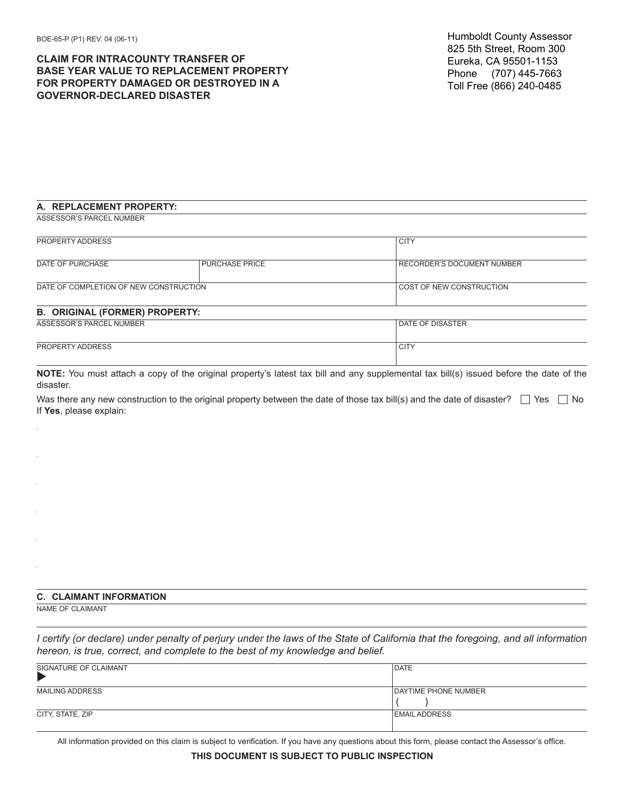## **CLAIM FOR INTRACOUNTY TRANSFER OF BASE YEAR VALUE TO REPLACEMENT PROPERTY FOR PROPERTY DAMAGED OR DESTROYED IN A GOVERNOR-DECLARED DISASTER**

## **A. REPLACEMENT PROPERTY:**

ASSESSOR'S PARCEL NUMBER

| PROPERTY ADDRESS                       |                       | <b>CITY</b>                |
|----------------------------------------|-----------------------|----------------------------|
|                                        |                       |                            |
| DATE OF PURCHASE                       | <b>PURCHASE PRICE</b> | RECORDER'S DOCUMENT NUMBER |
| DATE OF COMPLETION OF NEW CONSTRUCTION |                       | COST OF NEW CONSTRUCTION   |
| <b>B. ORIGINAL (FORMER) PROPERTY:</b>  |                       |                            |
| ASSESSOR'S PARCEL NUMBER               |                       | DATE OF DISASTER           |
| PROPERTY ADDRESS                       |                       | <b>CITY</b>                |

**NOTE:** You must attach a copy of the original property's latest tax bill and any supplemental tax bill(s) issued before the date of the disaster.

Was there any new construction to the original property between the date of those tax bill(s) and the date of disaster?  $\Box$  Yes  $\Box$  No If **Yes**, please explain:

## **C. CLAIMANT INFORMATION**

NAME OF CLAIMANT

*I certify (or declare) under penalty of perjury under the laws of the State of California that the foregoing, and all information hereon, is true, correct, and complete to the best of my knowledge and belief.*

| SIGNATURE OF CLAIMANT  | <b>DATE</b>                 |
|------------------------|-----------------------------|
| <b>MAILING ADDRESS</b> | <b>DAYTIME PHONE NUMBER</b> |
| CITY, STATE, ZIP       | <b>EMAIL ADDRESS</b>        |

All information provided on this claim is subject to verification. If you have any questions about this form, please contact the Assessor's office.

**THIS DOCUMENT IS SUBJECT TO PUBLIC INSPECTION**